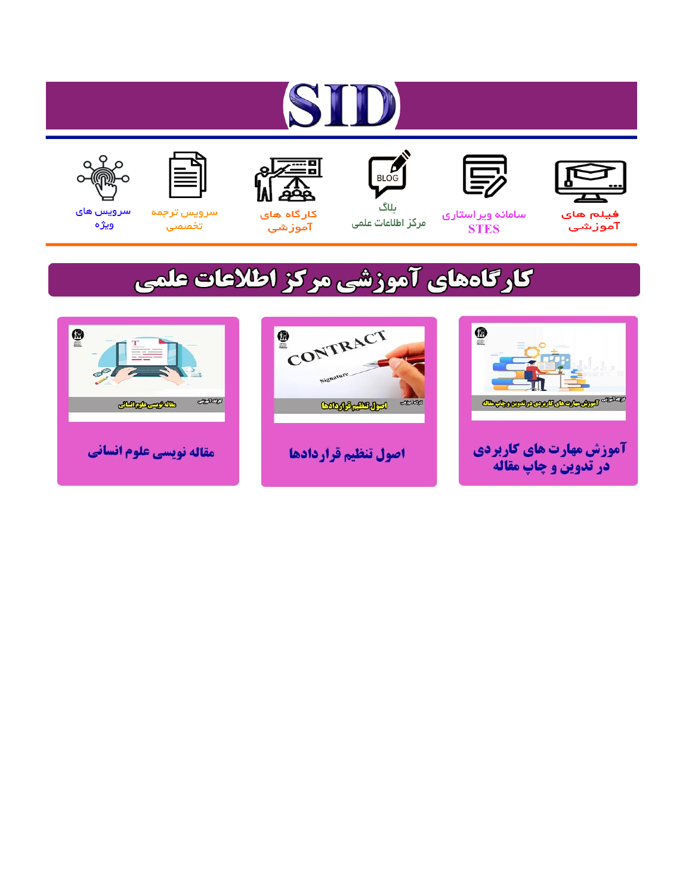# ST









## سامائه ويراستاري **STES**



ىلاگ مرکز اطلاعات علمی



ققق کارگاه های

آموزشي

空



تخصصى

سرویس های ويژه

# كارگاههای آموزشی مركز اطلاعات علمی





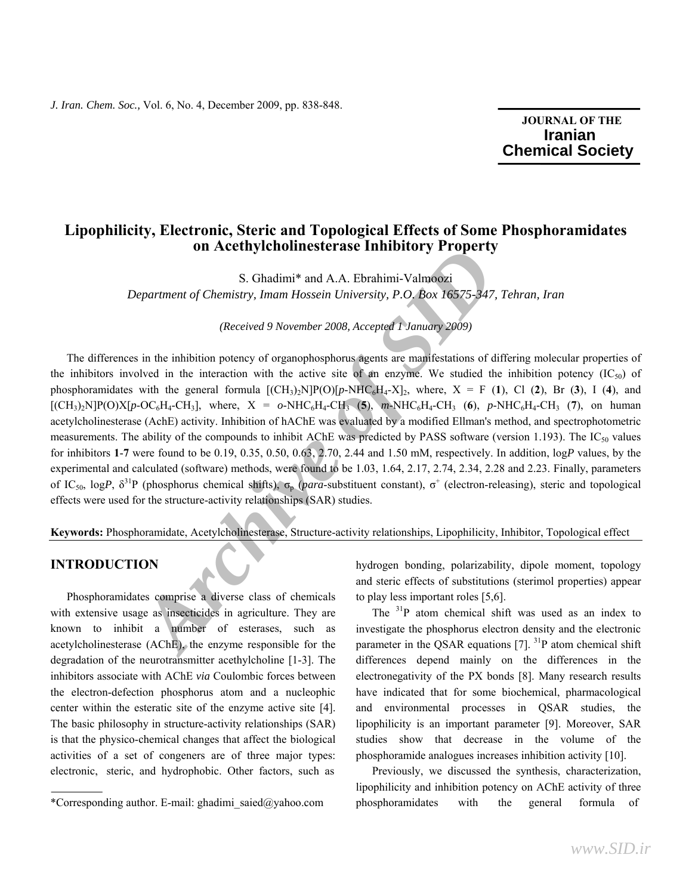### **JOURNAL OF THE Iranian Chemical Society**

ֺֺ

## **Lipophilicity, Electronic, Steric and Topological Effects of Some Phosphoramidates on Acethylcholinesterase Inhibitory Property**

S. Ghadimi\* and A.A. Ebrahimi-Valmoozi

*Department of Chemistry, Imam Hossein University, P.O. Box 16575-347, Tehran, Iran* 

*(Received 9 November 2008, Accepted 1 January 2009)* 

**Archivestic ase Eminotion y Troperty**<br>
S. Ghadimi<sup>\*</sup> and A.A. Ebrahimi-Valmoozi<br> *Archivensity, Imam Hossein University, P.O. Box 16575-347, Tel.*<br>
(*Received 9 November 2008, Accepted T January 2009*)<br>
ain the inhibition The differences in the inhibition potency of organophosphorus agents are manifestations of differing molecular properties of the inhibitors involved in the interaction with the active site of an enzyme. We studied the inhibition potency  $(IC_{50})$  of phosphoramidates with the general formula  $[(CH_3)_2N]P(O)[p-NHC_6H_4-X]_2$ , where,  $X = F(1)$ , Cl (2), Br (3), I (4), and  $[(CH_3)_2N]P(O)X[p-OC_6H_4-CH_3]$ , where,  $X = o-NHC_6H_4-CH_3$  (5), *m*-NHC<sub>6</sub>H<sub>4</sub>-CH<sub>3</sub> (6), *p*-NHC<sub>6</sub>H<sub>4</sub>-CH<sub>3</sub> (7), on human acetylcholinesterase (AchE) activity. Inhibition of hAChE was evaluated by a modified Ellman's method, and spectrophotometric measurements. The ability of the compounds to inhibit AChE was predicted by PASS software (version 1.193). The  $IC_{50}$  values for inhibitors **1**-**7** were found to be 0.19, 0.35, 0.50, 0.63, 2.70, 2.44 and 1.50 mM, respectively. In addition, log*P* values, by the experimental and calculated (software) methods, were found to be 1.03, 1.64, 2.17, 2.74, 2.34, 2.28 and 2.23. Finally, parameters of IC<sub>50</sub>, logP,  $\delta^{31}P$  (phosphorus chemical shifts),  $\sigma_p$  (*para*-substituent constant),  $\sigma^+$  (electron-releasing), steric and topological effects were used for the structure-activity relationships (SAR) studies.

**Keywords:** Phosphoramidate, Acetylcholinesterase, Structure-activity relationships, Lipophilicity, Inhibitor, Topological effect

#### **INTRODUCTION**

 Phosphoramidates comprise a diverse class of chemicals with extensive usage as insecticides in agriculture. They are known to inhibit a number of esterases, such as acetylcholinesterase (AChE), the enzyme responsible for the degradation of the neurotransmitter acethylcholine [1-3]. The inhibitors associate with AChE *via* Coulombic forces between the electron-defection phosphorus atom and a nucleophic center within the esteratic site of the enzyme active site [4]. The basic philosophy in structure-activity relationships (SAR) is that the physico-chemical changes that affect the biological activities of a set of congeners are of three major types: electronic, steric, and hydrophobic. Other factors, such as

hydrogen bonding, polarizability, dipole moment, topology and steric effects of substitutions (sterimol properties) appear to play less important roles [5,6].

The <sup>31</sup>P atom chemical shift was used as an index to investigate the phosphorus electron density and the electronic parameter in the QSAR equations  $[7]$ . <sup>31</sup>P atom chemical shift differences depend mainly on the differences in the electronegativity of the PX bonds [8]. Many research results have indicated that for some biochemical, pharmacological and environmental processes in QSAR studies, the lipophilicity is an important parameter [9]. Moreover, SAR studies show that decrease in the volume of the phosphoramide analogues increases inhibition activity [10].

 Previously, we discussed the synthesis, characterization, lipophilicity and inhibition potency on AChE activity of three phosphoramidates with the general formula of

<sup>\*</sup>Corresponding author. E-mail: ghadimi\_saied@yahoo.com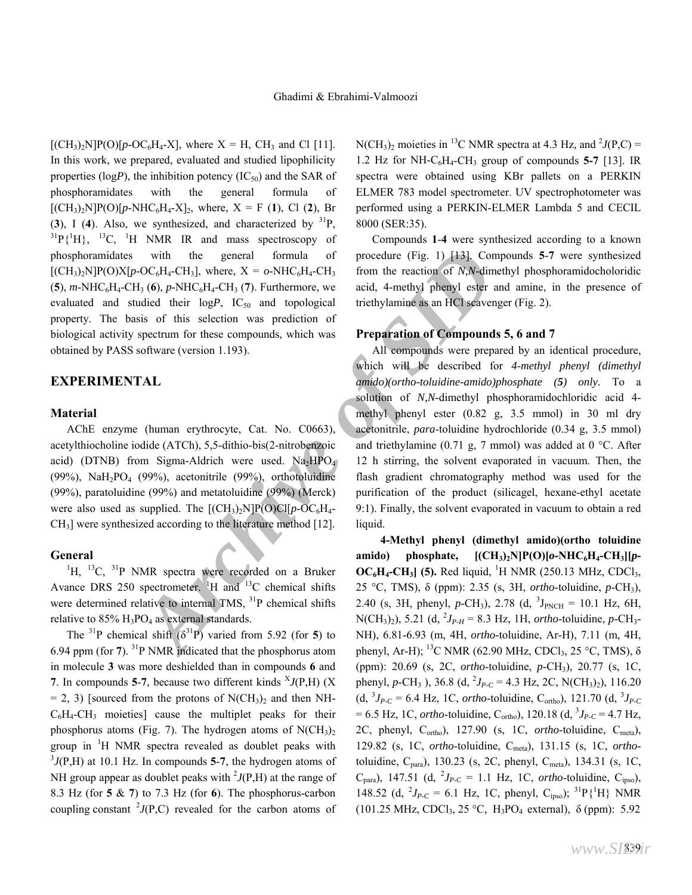$[(CH<sub>3</sub>)<sub>2</sub>N]P(O)[p-OC<sub>6</sub>H<sub>4</sub>-X],$  where  $X = H$ , CH<sub>3</sub> and Cl [11]. In this work, we prepared, evaluated and studied lipophilicity properties ( $logP$ ), the inhibition potency ( $IC_{50}$ ) and the SAR of phosphoramidates with the general formula of  $[(CH<sub>3</sub>)<sub>2</sub>N]P(O)[p-NHC<sub>6</sub>H<sub>4</sub>-X]<sub>2</sub>$ , where, X = F (1), Cl (2), Br (3), I (4). Also, we synthesized, and characterized by  $^{31}P$ ,  $^{31}P$ {<sup>1</sup>H},  $^{13}C$ , <sup>1</sup>H NMR IR and mass spectroscopy of phosphoramidates with the general formula of  $[(CH<sub>3</sub>)<sub>2</sub>N]P(O)X[p-OC<sub>6</sub>H<sub>4</sub>-CH<sub>3</sub>],$  where,  $X = o-NHC<sub>6</sub>H<sub>4</sub>-CH<sub>3</sub>$  $(5)$ , *m*-NHC<sub>6</sub>H<sub>4</sub>-CH<sub>3</sub> (6), *p*-NHC<sub>6</sub>H<sub>4</sub>-CH<sub>3</sub> (7). Furthermore, we evaluated and studied their logP, IC<sub>50</sub> and topological property. The basis of this selection was prediction of biological activity spectrum for these compounds, which was obtained by PASS software (version 1.193).

#### **EXPERIMENTAL**

#### **Material**

 AChE enzyme (human erythrocyte, Cat. No. C0663), acetylthiocholine iodide (ATCh), 5,5-dithio-bis(2-nitrobenzoic acid) (DTNB) from Sigma-Aldrich were used.  $Na<sub>2</sub>HPO<sub>4</sub>$ (99%), NaH<sub>2</sub>PO<sub>4</sub> (99%), acetonitrile (99%), orthotoluidine (99%), paratoluidine (99%) and metatoluidine (99%) (Merck) were also used as supplied. The  $[(CH_3)_2N]P(O)Cl[p-OC_6H_4-$ CH3] were synthesized according to the literature method [12].

#### **General**

 ${}^{1}$ H,  ${}^{13}$ C,  ${}^{31}$ P NMR spectra were recorded on a Bruker Avance DRS 250 spectrometer. <sup>1</sup>H and <sup>13</sup>C chemical shifts were determined relative to internal TMS, <sup>31</sup>P chemical shifts relative to  $85\%$  H<sub>3</sub>PO<sub>4</sub> as external standards.

The <sup>31</sup>P chemical shift  $(\delta^{31}P)$  varied from 5.92 (for 5) to 6.94 ppm (for **7**). 31P NMR indicated that the phosphorus atom in molecule **3** was more deshielded than in compounds **6** and **7**. In compounds **5-7**, because two different kinds  ${}^{x}J(P,H)$  (X  $= 2$ , 3) [sourced from the protons of N(CH<sub>3</sub>)<sub>2</sub> and then NH- $C_6H_4$ -CH<sub>3</sub> moieties] cause the multiplet peaks for their phosphorus atoms (Fig. 7). The hydrogen atoms of  $N(CH_3)_2$ group in <sup>1</sup>H NMR spectra revealed as doublet peaks with  $370 \text{ H}$  at 10.1 Hz. In compounds 5.7, the hydrogen stoms of  $J(P,H)$  at 10.1 Hz. In compounds 5-7, the hydrogen atoms of NH group appear as doublet peaks with  $\frac{2}{J(P,H)}$  at the range of 8.3 Hz (for **5** & **7**) to 7.3 Hz (for **6**). The phosphorus-carbon coupling constant  $\frac{2}{J(P,C)}$  revealed for the carbon atoms of

 $N(CH_3)_2$  moieties in <sup>13</sup>C NMR spectra at 4.3 Hz, and <sup>2</sup>*J*(P,C) = 1.2 Hz for NH- $C_6H_4$ -CH<sub>3</sub> group of compounds **5-7** [13]. IR spectra were obtained using KBr pallets on a PERKIN ELMER 783 model spectrometer. UV spectrophotometer was performed using a PERKIN-ELMER Lambda 5 and CECIL 8000 (SER:35).

 Compounds **1**-**4** were synthesized according to a known procedure (Fig. 1) [13]. Compounds **5**-**7** were synthesized from the reaction of *N,N*-dimethyl phosphoramidocholoridic acid, 4-methyl phenyl ester and amine, in the presence of triethylamine as an HCl scavenger (Fig. 2).

#### **Preparation of Compounds 5, 6 and 7**

with the general formula of procedure (Fig. 1) [43]. Compound  $A_3$ ,  $A_4$ ,  $A_5$ ,  $A_6$ ,  $P_7$ - $P_4$ ,  $P_5$ ,  $P_6$ ,  $P_7$ - $P_7$ ,  $P_8$ ,  $P_7$ ,  $P_8$ ,  $P_9$ ,  $P_9$ ,  $P_1$ ,  $P_2$ ,  $P_4$ ,  $P_5$ ,  $P_6$ ,  $P_7$ ,  $P_8$  and topo All compounds were prepared by an identical procedure, which will be described for *4-methyl phenyl (dimethyl amido)(ortho-toluidine-amido)phosphate (5) only.* To a solution of *N,N*-dimethyl phosphoramidochloridic acid 4 methyl phenyl ester (0.82 g, 3.5 mmol) in 30 ml dry acetonitrile, *para*-toluidine hydrochloride (0.34 g, 3.5 mmol) and triethylamine (0.71 g, 7 mmol) was added at 0 °C. After 12 h stirring, the solvent evaporated in vacuum. Then, the flash gradient chromatography method was used for the purification of the product (silicagel, hexane-ethyl acetate 9:1). Finally, the solvent evaporated in vacuum to obtain a red liquid.

**4-Methyl phenyl (dimethyl amido)(ortho toluidine**  amido) phosphate,  $[(CH_3)_2N]P(O)[o-NHC_6H_4-CH_3][p \rm OC_6H_4\text{-}CH_3$  (5). Red liquid, <sup>1</sup>H NMR (250.13 MHz, CDCl<sub>3</sub>, 25 °C, TMS), δ (ppm): 2.35 (s, 3H, *ortho*-toluidine, *p*-CH3), 2.40 (s, 3H, phenyl, *p*-CH<sub>3</sub>), 2.78 (d, <sup>3</sup>J<sub>PNCH</sub> = 10.1 Hz, 6H,  $N(CH_3)_2$ , 5.21 (d,  $^2J_{P-H}$  = 8.3 Hz, 1H, *ortho*-toluidine, *p*-CH<sub>3</sub>-NH), 6.81-6.93 (m, 4H, *ortho*-toluidine, Ar-H), 7.11 (m, 4H, phenyl, Ar-H); <sup>13</sup>C NMR (62.90 MHz, CDCl<sub>3</sub>, 25 °C, TMS), δ (ppm): 20.69 (s, 2C, *ortho*-toluidine, *p*-CH3), 20.77 (s, 1C, phenyl, *p*-CH<sub>3</sub>), 36.8 (d, <sup>2</sup>J<sub>P-C</sub> = 4.3 Hz, 2C, N(CH<sub>3</sub>)<sub>2</sub>), 116.20  $(d, {}^{3}J_{P\text{-}C} = 6.4 \text{ Hz}, 1 \text{C},$  *ortho*-toluidine, C<sub>ortho</sub>), 121.70  $(d, {}^{3}J_{P\text{-}C})$  $= 6.5$  Hz, 1C, *ortho*-toluidine, C<sub>ortho</sub>), 120.18 (d, <sup>3</sup>J<sub>P-C</sub> = 4.7 Hz, 2C, phenyl, Cortho), 127.90 (s, 1C, *ortho*-toluidine, Cmeta), 129.82 (s, 1C, *ortho*-toluidine, Cmeta), 131.15 (s, 1C, *ortho*toluidine, C<sub>para</sub>), 130.23 (s, 2C, phenyl, C<sub>meta</sub>), 134.31 (s, 1C,  $C_{\text{para}}$ ), 147.51 (d,  $^{2}J_{P-C} = 1.1$  Hz, 1C, *ortho*-toluidine,  $C_{\text{ipso}}$ ), 148.52 (d,  $^{2}J_{P-C} = 6.1$  Hz, 1C, phenyl, C<sub>ipso</sub>); <sup>31</sup>P{<sup>1</sup>H} NMR (101.25 MHz, CDCl<sub>3</sub>, 25 °C, H<sub>3</sub>PO<sub>4</sub> external),  $\delta$  (ppm): 5.92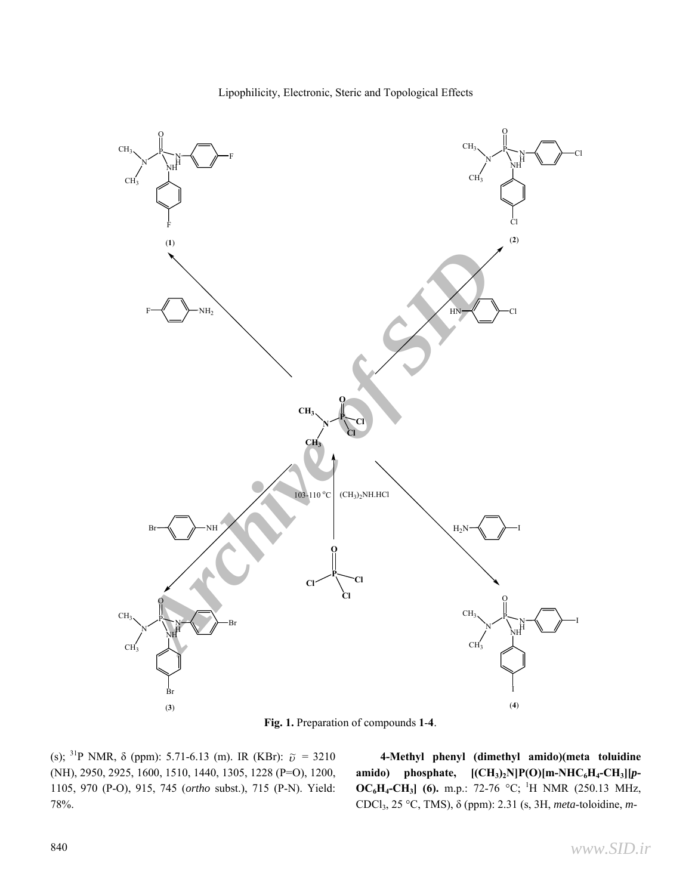

Lipophilicity, Electronic, Steric and Topological Effects

**Fig. 1.** Preparation of compounds **1**-**4**.

(s); <sup>31</sup>P NMR,  $\delta$  (ppm): 5.71-6.13 (m). IR (KBr):  $\tilde{v} = 3210$ (NH), 2950, 2925, 1600, 1510, 1440, 1305, 1228 (P=O), 1200, 1105, 970 (P-O), 915, 745 (*ortho* subst.), 715 (P-N). Yield: 78%.

**4-Methyl phenyl (dimethyl amido)(meta toluidine**  amido) phosphate,  $[(CH_3)_2N]P(O)[m-NHC_6H_4-CH_3][p-$ **OC6H4-CH3] (6).** m.p.: 72-76 °C; 1H NMR (250.13 MHz, CDCl3, 25 °C, TMS), δ (ppm): 2.31 (s, 3H, *meta*-toloidine, *m*-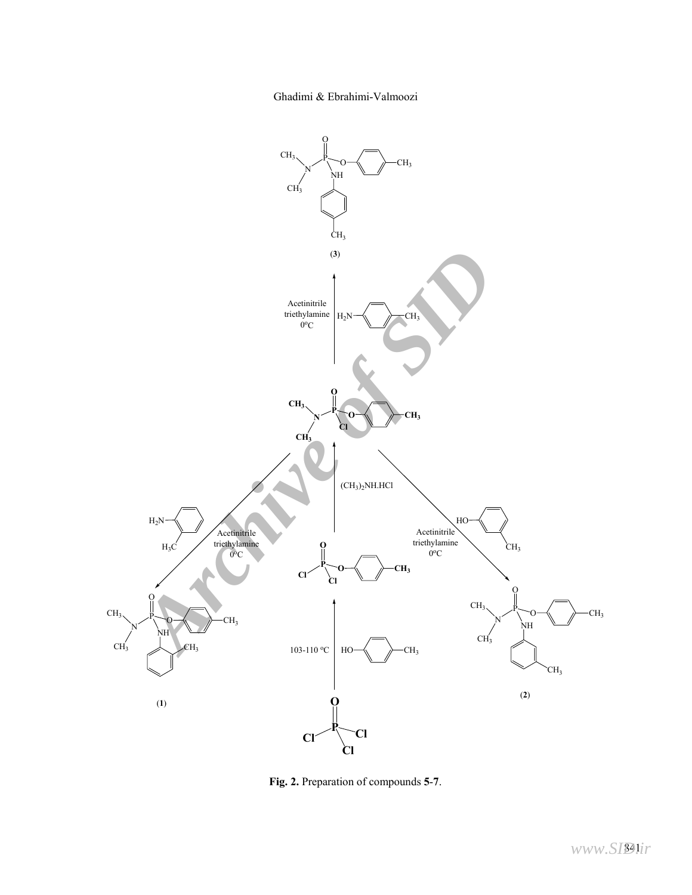Ghadimi & Ebrahimi-Valmoozi



**Fig. 2.** Preparation of compounds **5**-**7**.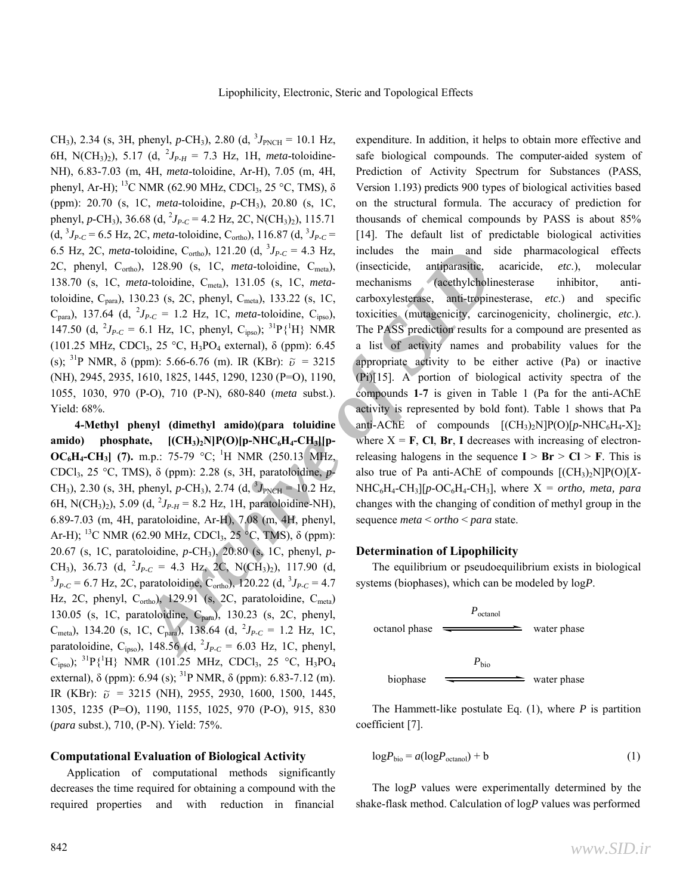CH<sub>3</sub>), 2.34 (s, 3H, phenyl, *p*-CH<sub>3</sub>), 2.80 (d, <sup>3</sup>*J*<sub>PNCH</sub> = 10.1 Hz, 6H, N(CH<sub>3</sub>)<sub>2</sub>), 5.17 (d, <sup>2</sup>J<sub>P-H</sub> = 7.3 Hz, 1H, *meta*-toloidine-NH), 6.83-7.03 (m, 4H, *meta*-toloidine, Ar-H), 7.05 (m, 4H, phenyl, Ar-H); <sup>13</sup>C NMR (62.90 MHz, CDCl<sub>3</sub>, 25 °C, TMS),  $\delta$ (ppm): 20.70 (s, 1C, *meta*-toloidine, *p*-CH3), 20.80 (s, 1C, phenyl, *p*-CH<sub>3</sub>), 36.68 (d, <sup>2</sup>J<sub>P-C</sub> = 4.2 Hz, 2C, N(CH<sub>3</sub>)<sub>2</sub>), 115.71  $(d, {}^{3}J_{P\text{-}C} = 6.5 \text{ Hz}, 2\text{C}, \text{meta-toloidine}, C_{\text{ortho}}), 116.87 (d, {}^{3}J_{P\text{-}C} =$ 6.5 Hz, 2C, *meta*-toloidine, C<sub>ortho</sub>), 121.20 (d,  ${}^{3}J_{P-C} = 4.3$  Hz, 2C, phenyl, C<sub>ortho</sub>), 128.90 (s, 1C, *meta*-toloidine, C<sub>meta</sub>), 138.70 (s, 1C, *meta*-toloidine, Cmeta), 131.05 (s, 1C, *meta*toloidine, C<sub>para</sub>), 130.23 (s, 2C, phenyl, C<sub>meta</sub>), 133.22 (s, 1C,  $C_{\text{para}}$ ), 137.64 (d,  $^{2}J_{P-C} = 1.2$  Hz, 1C, *meta*-toloidine,  $C_{\text{ipso}}$ ), 147.50 (d,  $^{2}J_{P-C} = 6.1$  Hz, 1C, phenyl, C<sub>ipso</sub>); <sup>31</sup>P{<sup>1</sup>H} NMR (101.25 MHz, CDCl<sub>3</sub>, 25 °C, H<sub>3</sub>PO<sub>4</sub> external),  $\delta$  (ppm): 6.45 (s); <sup>31</sup>P NMR,  $\delta$  (ppm): 5.66-6.76 (m). IR (KBr):  $\tilde{v} = 3215$ (NH), 2945, 2935, 1610, 1825, 1445, 1290, 1230 (P=O), 1190, 1055, 1030, 970 (P-O), 710 (P-N), 680-840 (*meta* subst.). Yield: 68%.

coloidine, C<sub>ortho</sub>, 121.20 (d,  ${}^3P_{FC} = 4.3$  Hz, includes the main and side<br>  $\lambda$ , 128.90 (s, 1C, *meta*-boldine, C<sub>orea</sub>l,  $\lambda$  (insecticide, antiparastic, actributed and side<br> *Archive of the Coreal coreal coreal cor* **4-Methyl phenyl (dimethyl amido)(para toluidine**  amido) phosphate,  $[(CH_3)_2N]P(O)[p-NHC_6H_4-CH_3][p-$ **OC<sub>6</sub>H<sub>4</sub>-CH<sub>3</sub>** (7). m.p.: 75-79 °C; <sup>1</sup>H NMR (250.13 MHz, CDCl3, 25 °C, TMS), δ (ppm): 2.28 (s, 3H, paratoloidine, *p*-CH<sub>3</sub>), 2.30 (s, 3H, phenyl, *p*-CH<sub>3</sub>), 2.74 (d,  $\delta J_{\text{PNCH}} = 10.2 \text{ Hz}$ , 6H, N(CH<sub>3</sub>)<sub>2</sub>), 5.09 (d, <sup>2</sup>J<sub>P-H</sub> = 8.2 Hz, 1H, paratoloidine-NH), 6.89-7.03 (m, 4H, paratoloidine, Ar-H), 7.08 (m, 4H, phenyl, Ar-H); <sup>13</sup>C NMR (62.90 MHz, CDCl<sub>3</sub>, 25 °C, TMS),  $\delta$  (ppm): 20.67 (s, 1C, paratoloidine, *p*-CH3), 20.80 (s, 1C, phenyl, *p*-CH<sub>3</sub>), 36.73 (d, <sup>2</sup>J<sub>P-C</sub> = 4.3 Hz, 2C, N(CH<sub>3</sub>)<sub>2</sub>), 117.90 (d, <sup>3</sup>J<sub>J</sub> = 6.7 Hz, 2C parateloiding C = 1.20.22 (d, <sup>3</sup>J<sub>J</sub> = 4.7)  $J_{P-C} = 6.7$  Hz, 2C, paratoloidine, C<sub>ortho</sub>), 120.22 (d, <sup>3</sup> $J_{P-C} = 4.7$ Hz, 2C, phenyl, C<sub>ortho</sub>), 129.91 (s, 2C, paratoloidine, C<sub>meta</sub>) 130.05 (s, 1C, paratoloidine, Cpara), 130.23 (s, 2C, phenyl,  $C_{\text{meta}}$ ), 134.20 (s, 1C,  $C_{\text{para}}$ ), 138.64 (d,  $^{2}J_{P-C} = 1.2$  Hz, 1C, paratoloidine, C<sub>ipso</sub>), 148.56 (d, <sup>2</sup>J<sub>P-C</sub> = 6.03 Hz, 1C, phenyl,  $C_{\text{ipso}}$ ); <sup>31</sup>P{<sup>1</sup>H} NMR (101.25 MHz, CDCl<sub>3</sub>, 25 °C, H<sub>3</sub>PO<sub>4</sub> external),  $\delta$  (ppm): 6.94 (s); <sup>31</sup>P NMR,  $\delta$  (ppm): 6.83-7.12 (m). IR (KBr):  $\tilde{v}$  = 3215 (NH), 2955, 2930, 1600, 1500, 1445, 1305, 1235 (P=O), 1190, 1155, 1025, 970 (P-O), 915, 830 (*para* subst.), 710, (P-N). Yield: 75%.

#### **Computational Evaluation of Biological Activity**

 Application of computational methods significantly decreases the time required for obtaining a compound with the required properties and with reduction in financial

expenditure. In addition, it helps to obtain more effective and safe biological compounds. The computer-aided system of Prediction of Activity Spectrum for Substances (PASS, Version 1.193) predicts 900 types of biological activities based on the structural formula. The accuracy of prediction for thousands of chemical compounds by PASS is about 85% [14]. The default list of predictable biological activities includes the main and side pharmacological effects (insecticide, antiparasitic, acaricide, *etc*.), molecular mechanisms (acethylcholinesterase inhibitor, anticarboxylesterase, anti-tropinesterase, *etc*.) and specific toxicities (mutagenicity, carcinogenicity, cholinergic, *etc*.). The PASS prediction results for a compound are presented as a list of activity names and probability values for the appropriate activity to be either active (Pa) or inactive (Pi)[15]. A portion of biological activity spectra of the compounds **1**-**7** is given in Table 1 (Pa for the anti-AChE activity is represented by bold font). Table 1 shows that Pa anti-AChE of compounds  $[(CH_3)_2N]P(O)[p-NHC_6H_4-X]_2$ where  $X = F$ , **Cl**, **Br**, **I** decreases with increasing of electronreleasing halogens in the sequence  $I > Br > Cl > F$ . This is also true of Pa anti-AChE of compounds [(CH3)2N]P(O)[*X*- $NHC_6H_4\text{-}CH_3[[p\text{-}OC_6H_4\text{-}CH_3],$  where  $X = ortho$ , *meta, para* changes with the changing of condition of methyl group in the sequence *meta* < *ortho* < *para* state.

#### **Determination of Lipophilicity**

 The equilibrium or pseudoequilibrium exists in biological systems (biophases), which can be modeled by log*P*.

| $P_{\text{octanol}}$ | water phase |
|----------------------|-------------|
| biophase             | Water phase |

\nwhere  $P_{\text{bio}}$  is the same value of the system is given by  $P_{\text{bio}}$ .

 The Hammett-like postulate Eq. (1), where *P* is partition coefficient [7].

$$
\log P_{\text{bio}} = a(\log P_{\text{octanol}}) + b \tag{1}
$$

 The log*P* values were experimentally determined by the shake-flask method. Calculation of log*P* values was performed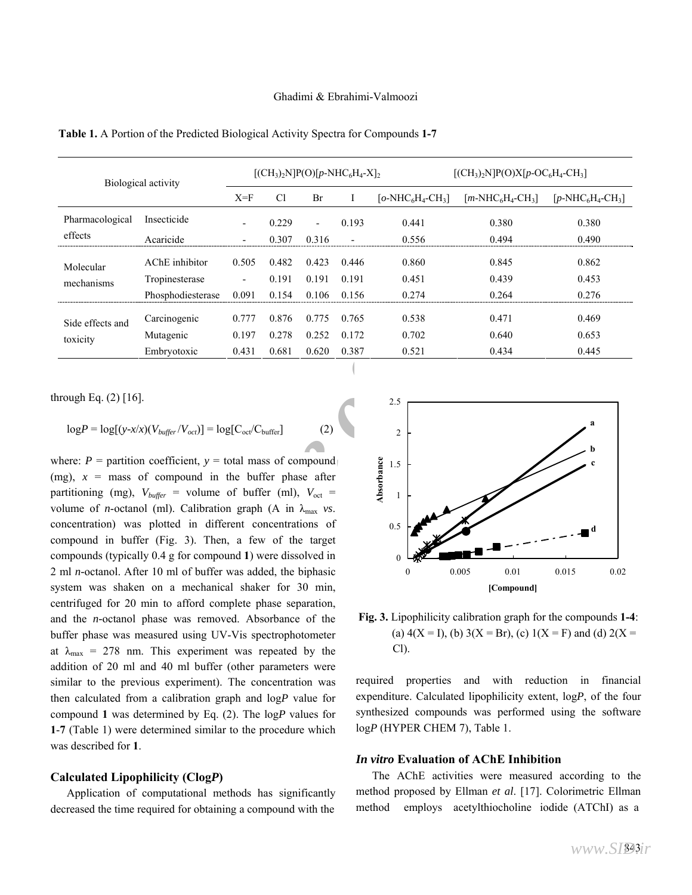Carcinogenic 0.777 0.876 0.775 0.765 0.538 0.471 0.469 Mutagenic 0.197 0.278 0.252 0.172 0.702 0.640 0.653

Embryotoxic 0.431 0.681 0.620 0.387 0.521 0.434 0.445

| Biological activity     |                                  |                          | $[(CH_3)_2N]P(O)[p-NHC_6H_4-X]_2$ |                |                |                  | $[(CH_3)_2N]P(O)X[p-OC_6H_4-CH_3]$ |                |  |  |
|-------------------------|----------------------------------|--------------------------|-----------------------------------|----------------|----------------|------------------|------------------------------------|----------------|--|--|
|                         |                                  | $X = F$                  | Cl                                | Br             |                | $[o-NHC6H4-CH3]$ | $[m-NHC6H4-CH3]$                   |                |  |  |
| Pharmacological         | Insecticide                      | $\overline{\phantom{0}}$ | 0.229                             | Ξ.             | 0.193          | 0.441            | 0.380                              | 0.380          |  |  |
| effects                 | Acaricide                        | $\overline{\phantom{0}}$ | 0.307                             | 0.316          |                | 0.556            | 0.494                              | 0.490          |  |  |
| Molecular<br>mechanisms | AChE inhibitor<br>Tropinesterase | 0.505<br>٠               | 0.482<br>0.191                    | 0.423<br>0.191 | 0.446<br>0.191 | 0.860<br>0.451   | 0.845<br>0.439                     | 0.862<br>0.453 |  |  |
|                         | Phosphodiesterase                | 0.091                    | 0.154                             | 0.106          | 0.156          | 0.274            | 0.264                              | 0.276          |  |  |

**Table 1.** A Portion of the Predicted Biological Activity Spectra for Compounds **1-7**

through Eq. (2) [16].

Side effects and

toxicity

$$
\log P = \log[(y - x/x)(V_{buffer}/V_{oct})] = \log[C_{oct}/C_{buffer}]
$$
 (2)

AChE inhibitor 0.505 0.482 0.423 0.446 0.860 0.845<br>
Tropinesterase 0.091 0.191 0.191 0.191 0.451 0.431<br>
Phosphodiesterase 0.091 0.154 0.106 0.156 0.274 0.264<br>
Carcinogenic 0.777 0.876 0.775 0.765 0.538 0.471<br>
Mutagenic 0. where:  $P =$  partition coefficient,  $y =$  total mass of compound (mg),  $x =$  mass of compound in the buffer phase after partitioning (mg),  $V_{buffer}$  = volume of buffer (ml),  $V_{oct}$  = volume of *n*-octanol (ml). Calibration graph (A in  $\lambda_{\text{max}}$  *vs*. concentration) was plotted in different concentrations of compound in buffer (Fig. 3). Then, a few of the target compounds (typically 0.4 g for compound **1**) were dissolved in 2 ml *n-*octanol. After 10 ml of buffer was added, the biphasic system was shaken on a mechanical shaker for 30 min, centrifuged for 20 min to afford complete phase separation, and the *n-*octanol phase was removed. Absorbance of the buffer phase was measured using UV-Vis spectrophotometer at  $\lambda_{\text{max}}$  = 278 nm. This experiment was repeated by the addition of 20 ml and 40 ml buffer (other parameters were similar to the previous experiment). The concentration was then calculated from a calibration graph and log*P* value for compound **1** was determined by Eq. (2). The log*P* values for **1**-**7** (Table 1) were determined similar to the procedure which was described for **1**.

#### **Calculated Lipophilicity (Clog***P***)**

 Application of computational methods has significantly decreased the time required for obtaining a compound with the



**Fig. 3.** Lipophilicity calibration graph for the compounds **1-4**: (a)  $4(X = I)$ , (b)  $3(X = Br)$ , (c)  $1(X = F)$  and (d)  $2(X =$ Cl).

required properties and with reduction in financial expenditure. Calculated lipophilicity extent, log*P*, of the four synthesized compounds was performed using the software log*P* (HYPER CHEM 7), Table 1.

#### *In vitro* **Evaluation of AChE Inhibition**

 The AChE activities were measured according to the method proposed by Ellman *et al*. [17]. Colorimetric Ellman method employs acetylthiocholine iodide (ATChI) as a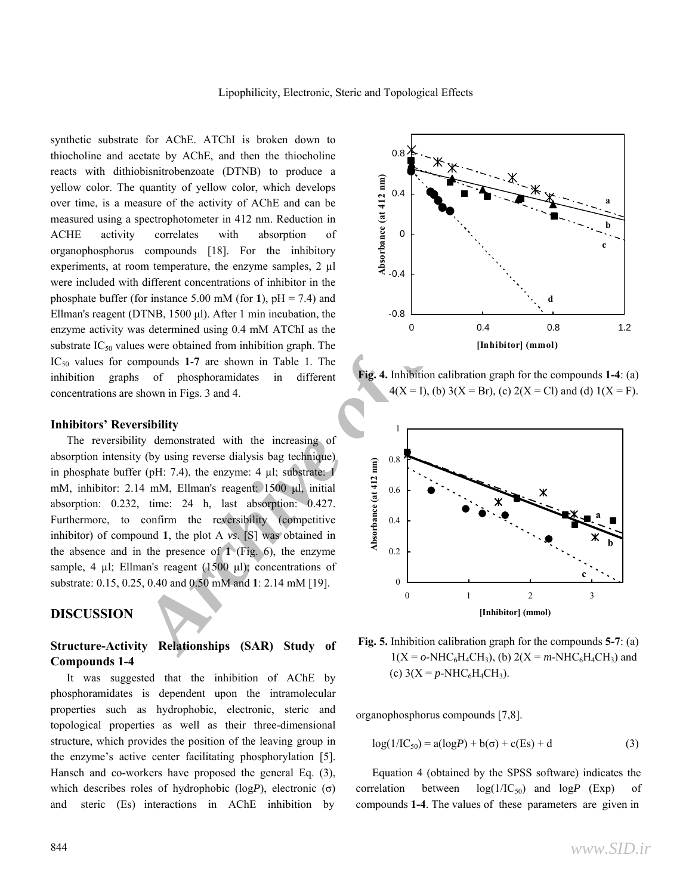synthetic substrate for AChE. ATChI is broken down to thiocholine and acetate by AChE, and then the thiocholine reacts with dithiobisnitrobenzoate (DTNB) to produce a yellow color. The quantity of yellow color, which develops over time, is a measure of the activity of AChE and can be measured using a spectrophotometer in 412 nm. Reduction in ACHE activity correlates with absorption of organophosphorus compounds [18]. For the inhibitory experiments, at room temperature, the enzyme samples, 2 µl were included with different concentrations of inhibitor in the phosphate buffer (for instance 5.00 mM (for 1),  $pH = 7.4$ ) and Ellman's reagent (DTNB, 1500 μl). After 1 min incubation, the enzyme activity was determined using 0.4 mM ATChI as the substrate  $IC_{50}$  values were obtained from inhibition graph. The IC50 values for compounds **1**-**7** are shown in Table 1. The inhibition graphs of phosphoramidates in different concentrations are shown in Figs. 3 and 4.

#### **Inhibitors' Reversibility**

 The reversibility demonstrated with the increasing of absorption intensity (by using reverse dialysis bag technique) in phosphate buffer (pH: 7.4), the enzyme: 4 µl; substrate: 1 mM, inhibitor: 2.14 mM, Ellman's reagent: 1500 μl, initial absorption: 0.232, time: 24 h, last absorption: 0.427. Furthermore, to confirm the reversibility (competitive inhibitor) of compound **1**, the plot A *vs*. [S] was obtained in the absence and in the presence of **1** (Fig. 6), the enzyme sample, 4 µl; Ellman's reagent (1500 μl); concentrations of substrate: 0.15, 0.25, 0.40 and 0.50 mM and **1**: 2.14 mM [19].

#### **DISCUSSION**

### **Structure-Activity Relationships (SAR) Study of Compounds 1-4**

 It was suggested that the inhibition of AChE by phosphoramidates is dependent upon the intramolecular properties such as hydrophobic, electronic, steric and topological properties as well as their three-dimensional structure, which provides the position of the leaving group in the enzyme's active center facilitating phosphorylation [5]. Hansch and co-workers have proposed the general Eq. (3), which describes roles of hydrophobic (log*P*), electronic (σ) and steric (Es) interactions in AChE inhibition by



**Fig. 4.** Inhibition calibration graph for the compounds **1-4**: (a)  $4(X = I)$ , (b)  $3(X = Br)$ , (c)  $2(X = Cl)$  and (d)  $1(X = F)$ .



**Fig. 5.** Inhibition calibration graph for the compounds **5-7**: (a)  $1(X = 0-NHC_6H_4CH_3)$ , (b)  $2(X = m-NHC_6H_4CH_3)$  and (c)  $3(X = p-NHC_6H_4CH_3)$ .

organophosphorus compounds [7,8].

$$
log(1/IC_{50}) = a(logP) + b(\sigma) + c(Es) + d
$$
 (3)

 Equation 4 (obtained by the SPSS software) indicates the correlation between  $log(1/IC_{50})$  and  $logP$  (Exp) of compounds **1-4**. The values of these parameters are given in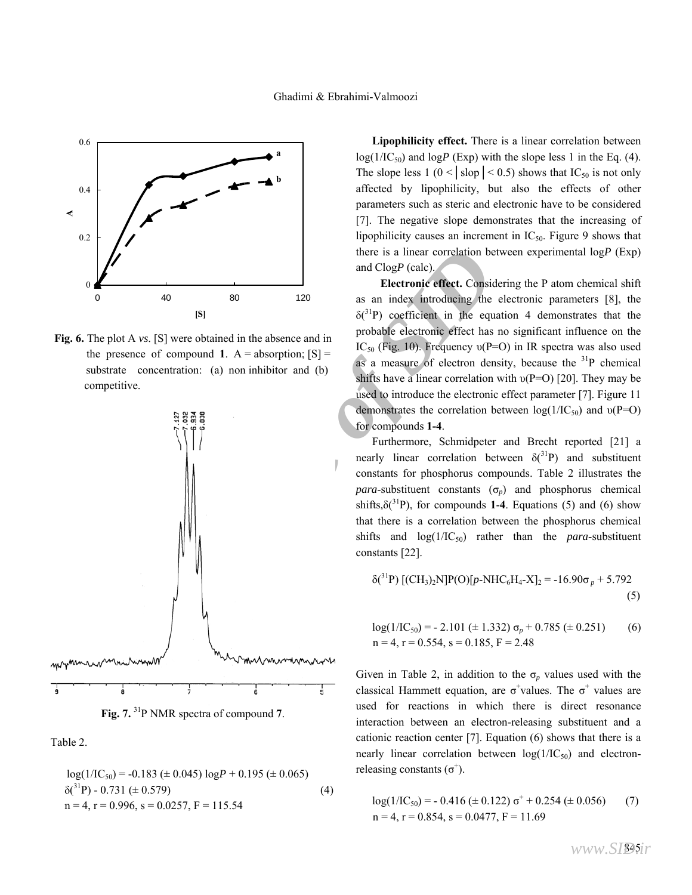

**Fig. 6.** The plot A *vs*. [S] were obtained in the absence and in the presence of compound **1**.  $A =$  absorption;  $[S] =$  substrate concentration: (a) non inhibitor and (b) competitive.





Table 2.

$$
log(1/IC_{50}) = -0.183 \ (\pm 0.045) \ log P + 0.195 \ (\pm 0.065)
$$
  
\n
$$
\delta(^{31}P) - 0.731 \ (\pm 0.579)
$$
  
\n
$$
n = 4, r = 0.996, s = 0.0257, F = 115.54
$$
\n(4)

 **Lipophilicity effect.** There is a linear correlation between  $log(1/IC_{50})$  and  $logP$  (Exp) with the slope less 1 in the Eq. (4). The slope less  $1 (0 < | \text{stop} | < 0.5)$  shows that IC<sub>50</sub> is not only affected by lipophilicity, but also the effects of other parameters such as steric and electronic have to be considered [7]. The negative slope demonstrates that the increasing of lipophilicity causes an increment in  $IC_{50}$ . Figure 9 shows that there is a linear correlation between experimental log*P* (Exp) and Clog*P* (calc).

**Electronic effect.** Considering the P atom chemical shift as an index introducing the electronic parameters [8], the  $\delta$ <sup>(31</sup>P) coefficient in the equation 4 demonstrates that the probable electronic effect has no significant influence on the IC<sub>50</sub> (Fig. 10). Frequency  $v(P=O)$  in IR spectra was also used as a measure of electron density, because the  $31P$  chemical shifts have a linear correlation with  $v(P=O)$  [20]. They may be used to introduce the electronic effect parameter [7]. Figure 11 demonstrates the correlation between  $log(1/IC_{50})$  and  $v(P=O)$ for compounds **1-4**.

 Furthermore, Schmidpeter and Brecht reported [21] a nearly linear correlation between  $\delta(^{31}P)$  and substituent constants for phosphorus compounds. Table 2 illustrates the *para*-substituent constants  $(\sigma_p)$  and phosphorus chemical shifts, $\delta(^{31}P)$ , for compounds **1-4**. Equations (5) and (6) show that there is a correlation between the phosphorus chemical shifts and  $log(1/IC_{50})$  rather than the *para*-substituent constants [22].

$$
\delta(^{31}P) \left[ (CH_3)_2 N \right] P(O) \left[ p\text{-}N \right] P \left[ -N \right] P \left[ -N \right] P \left[ -N \right] P \left[ -N \right] P \left[ -N \right] P \left[ -N \right] P \left[ -N \right] P \left[ -N \right] P \left[ -N \right] P \left[ -N \right] P \left[ -N \right] P \left[ -N \right] P \left[ -N \right] P \left[ -N \right] P \left[ -N \right] P \left[ -N \right] P \left[ -N \right] P \left[ -N \right] P \left[ -N \right] P \left[ -N \right] P \left[ -N \right] P \left[ -N \right] P \left[ -N \right] P \left[ -N \right] P \left[ -N \right] P \left[ -N \right] P \left[ -N \right] P \left[ -N \right] P \left[ -N \right] P \left[ -N \right] P \left[ -N \right] P \left[ -N \right] P \left[ -N \right] P \left[ -N \right] P \left[ -N \right] P \left[ -N \right] P \left[ -N \right] P \left[ -N \right] P \left[ -N \right] P \left[ -N \right] P \left[ -N \right] P \left[ -N \right] P \left[ -N \right] P \left[ -N \right] P \left[ -N \right] P \left[ -N \right] P \left[ -N \right] P \left[ -N \right] P \left[ -N \right] P \left[ -N \right] P \left[ -N \right] P \left[ -N \right] P \left[ -N \right] P \left[ -N \right] P \left[ -N \right] P \left[ -N \right] P \left[ -N \right] P \left[ -N \right] P \left[ -N \right] P \left[ -N \right] P \left[ -N \right] P \left[ -N \right] P \left[ -N \right] P \left[ -N \right] P \left[ -N \right] P \left[ -N \right] P \left[ -N \right] P \left[ -N \right] P \left[ -N \right] P \left[ -N \right] P \left[ -N \right] P \left[ -N \right] P \left[ -N \right] P \left[ -N \right] P \left[ -N \right] P \left[ -N \right] P \left[ -N \right] P \left[ -N \right] P \left[ -N \right] P \left[ -N \right] P \left
$$

$$
log(1/IC_{50}) = -2.101 \ (\pm 1.332) \ \sigma_p + 0.785 \ (\pm 0.251)
$$
 (6)  
n = 4, r = 0.554, s = 0.185, F = 2.48

Given in Table 2, in addition to the  $\sigma_p$  values used with the classical Hammett equation, are  $\sigma^+$ values. The  $\sigma^+$  values are used for reactions in which there is direct resonance interaction between an electron-releasing substituent and a cationic reaction center [7]. Equation (6) shows that there is a nearly linear correlation between  $log(1/IC_{50})$  and electronreleasing constants  $(\sigma^+)$ .

$$
log(1/IC_{50}) = -0.416 \ (\pm 0.122) \ \sigma^+ + 0.254 \ (\pm 0.056)
$$
  
\n
$$
n = 4, r = 0.854, s = 0.0477, F = 11.69
$$
 (7)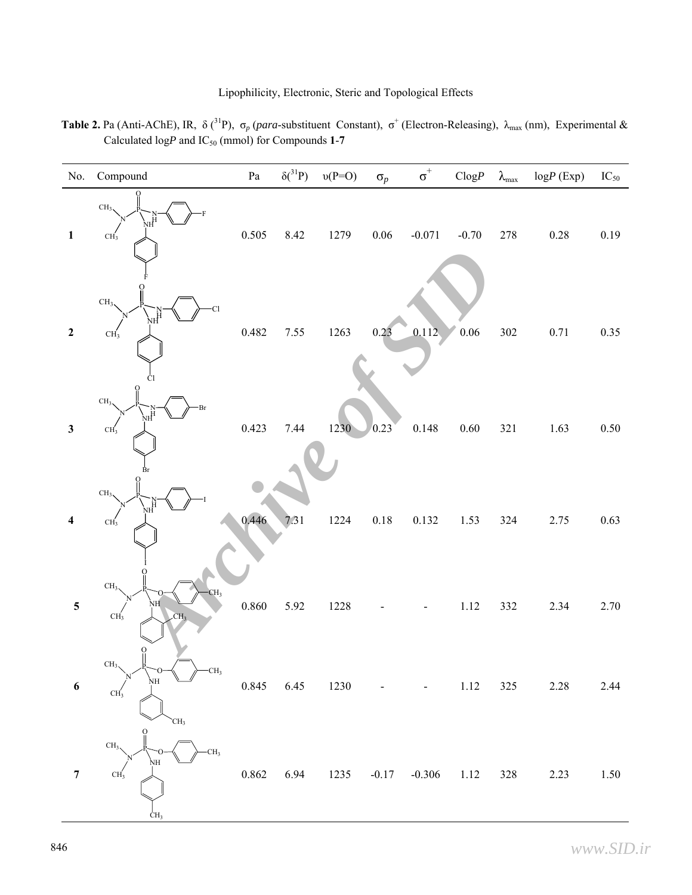**Table 2.** Pa (Anti-AChE), IR,  $\delta$  (<sup>31</sup>P),  $\sigma_p$  (*para*-substituent Constant),  $\sigma^+$  (Electron-Releasing),  $\lambda_{\text{max}}$  (nm), Experimental & Calculated  $logP$  and  $IC_{50}$  (mmol) for Compounds 1-7

| No.              | Compound                                                                                                           | ${\bf Pa}$ | $\delta(^{31}P)$ | $v(P=O)$   | $\sigma_p$ | $\sigma^{\scriptscriptstyle +}$ | $\mathbf{Clog}P$ | $\lambda_{\rm max}$ | $logP$ (Exp) | $IC_{50}$ |
|------------------|--------------------------------------------------------------------------------------------------------------------|------------|------------------|------------|------------|---------------------------------|------------------|---------------------|--------------|-----------|
| $\mathbf{1}$     | CH <sub>3</sub><br>NΗ<br>CH <sub>3</sub>                                                                           | 0.505      | 8.42             | 1279       | $0.06\,$   | $-0.071$                        | $-0.70$          | 278                 | $0.28\,$     | 0.19      |
| $\boldsymbol{2}$ | CH <sub>3</sub><br><b>Cl</b><br>ΝH<br>CH <sub>3</sub>                                                              | 0.482      | 7.55             | 1263       | 0.23       | 0.112                           | $0.06\,$         | 302                 | $0.71\,$     | 0.35      |
| $\mathbf{3}$     | Ċl<br>CH <sub>3</sub><br>Br<br>мӉ<br>CH <sub>3</sub><br>₿r                                                         | 0.423      | 7.44             | 1230       | 0.23       | 0.148                           | $0.60\,$         | 321                 | 1.63         | $0.50\,$  |
| 4                | CH <sub>3</sub><br>NН<br>CH <sub>3</sub>                                                                           | 0.446      | 7.31             | 1224       | $0.18\,$   | 0.132                           | 1.53             | 324                 | 2.75         | 0.63      |
| $\mathbf 5$      | CH <sub>3</sub><br>CH <sub>3</sub><br>NH<br>CH <sub>3</sub><br>CH <sub>3</sub>                                     | $0.860\,$  | 5.92             | 1228       |            |                                 | $1.12\,$         | 332                 | 2.34         | 2.70      |
| $\boldsymbol{6}$ | $\begin{smallmatrix}0\1\end{smallmatrix}$<br>CH <sub>3</sub><br>$-CH3$<br>NΗ<br>CH <sub>3</sub><br>CH <sub>3</sub> |            | 0.845 6.45 1230  |            |            |                                 | 1.12             | 325                 | 2.28         | 2.44      |
| $\boldsymbol{7}$ | CH <sub>3</sub><br>CH <sub>3</sub><br>NН<br>CH <sub>3</sub><br>CH <sub>3</sub>                                     | 0.862      | 6.94             | 1235 -0.17 |            | $-0.306$ 1.12                   |                  | $328\,$             | 2.23         | 1.50      |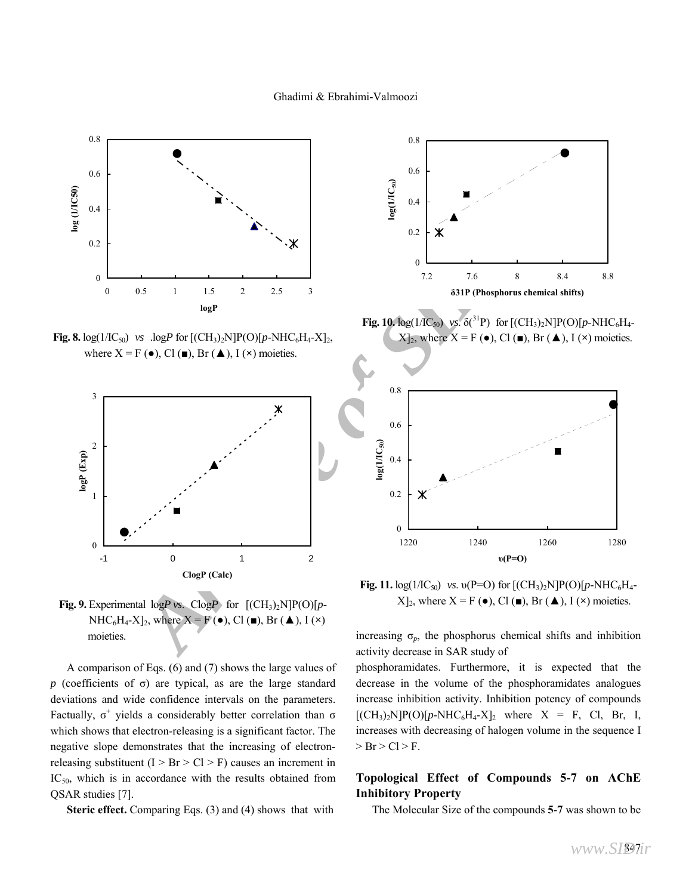

**Fig. 8.**  $log(1/IC_{50})$  *vs* . $logP$  for  $[(CH_3)_2N]P(O)[p-NHC_6H_4-X]_2$ , where  $X = F(\bullet)$ , Cl  $(\bullet)$ , Br  $(\bullet)$ , I  $(\star)$  moieties.



**Fig. 9.** Experimental  $logP$  vs. Clog $P$  for  $[(CH_3)_2N]P(O)[p-$ NHC<sub>6</sub>H<sub>4</sub>-X<sub></sub>]<sub>2</sub>, where X = F ( $\bullet$ ), Cl ( $\bullet$ ), Br ( $\blacktriangle$ ), I ( $\times$ ) moieties.

 A comparison of Eqs. (6) and (7) shows the large values of *p* (coefficients of σ) are typical, as are the large standard deviations and wide confidence intervals on the parameters. Factually,  $\sigma^+$  yields a considerably better correlation than  $\sigma$ which shows that electron-releasing is a significant factor. The negative slope demonstrates that the increasing of electronreleasing substituent  $(I > Br > Cl > F)$  causes an increment in  $IC_{50}$ , which is in accordance with the results obtained from QSAR studies [7].

 **Steric effect.** Comparing Eqs. (3) and (4) shows that with



**Fig. 10.**  $log(1/IC_{50})$  *vs.*  $\delta(^{31}P)$  for  $[(CH_3)_2N]P(O)[p-NHC_6H_4 [X]_2$ , where  $X = F(\bullet)$ , Cl $(\blacksquare)$ , Br $(\blacktriangle)$ , I $(\times)$  moieties.



**Fig. 11.**  $log(1/IC_{50})$  *vs.*  $v(P=O)$  for  $[(CH_3)_2N]P(O)[p-NHC_6H_4 [X]_2$ , where  $X = F(\bullet)$ , Cl  $(\bullet)$ , Br  $(\blacktriangle)$ , I  $(\times)$  moieties.

increasing  $\sigma_p$ , the phosphorus chemical shifts and inhibition activity decrease in SAR study of

phosphoramidates. Furthermore, it is expected that the decrease in the volume of the phosphoramidates analogues increase inhibition activity. Inhibition potency of compounds  $[(CH<sub>3</sub>)<sub>2</sub>N]P(O)[p-NHC<sub>6</sub>H<sub>4</sub>-X]<sub>2</sub>$  where X = F, Cl, Br, I, increases with decreasing of halogen volume in the sequence I  $>$  Br  $>$  Cl  $>$  F.

#### **Topological Effect of Compounds 5-7 on AChE Inhibitory Property**

The Molecular Size of the compounds **5**-**7** was shown to be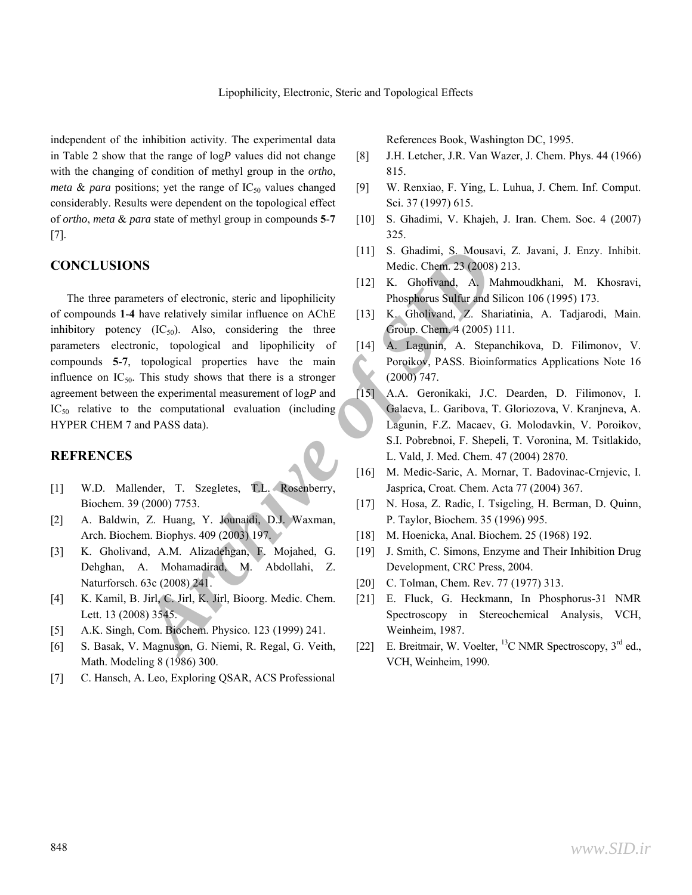independent of the inhibition activity. The experimental data in Table 2 show that the range of log*P* values did not change with the changing of condition of methyl group in the *ortho*, *meta* & *para* positions; yet the range of  $IC_{50}$  values changed considerably. Results were dependent on the topological effect of *ortho*, *meta* & *para* state of methyl group in compounds **5**-**7** [7].

#### **CONCLUSIONS**

**Archive SIDE 111 S.** Ghadimi, S. Mousavi, Z<br> **Archive of the Come and inpephilicity**<br> **Archive of Archive of Archive of Archive of Archive of Archive of Archive of Archive of Archive of Archive of Come (C<sub>SQ</sub>). Also, cons**  The three parameters of electronic, steric and lipophilicity of compounds **1**-**4** have relatively similar influence on AChE inhibitory potency  $(IC_{50})$ . Also, considering the three parameters electronic, topological and lipophilicity of compounds **5**-**7**, topological properties have the main influence on  $IC_{50}$ . This study shows that there is a stronger agreement between the experimental measurement of log*P* and IC<sub>50</sub> relative to the computational evaluation (including HYPER CHEM 7 and PASS data).

#### **REFRENCES**

- [1] W.D. Mallender, T. Szegletes, T.L. Rosenberry, Biochem. 39 (2000) 7753.
- [2] A. Baldwin, Z. Huang, Y. Jounaidi, D.J. Waxman, Arch. Biochem. Biophys. 409 (2003) 197.
- [3] K. Gholivand, A.M. Alizadehgan, F. Mojahed, G. Dehghan, A. Mohamadirad, M. Abdollahi, Z. Naturforsch. 63c (2008) 241.
- [4] K. Kamil, B. Jirl, C. Jirl, K. Jirl, Bioorg. Medic. Chem. Lett. 13 (2008) 3545.
- [5] A.K. Singh, Com. Biochem. Physico. 123 (1999) 241.
- [6] S. Basak, V. Magnuson, G. Niemi, R. Regal, G. Veith, Math. Modeling 8 (1986) 300.
- [7] C. Hansch, A. Leo, Exploring QSAR, ACS Professional

References Book, Washington DC, 1995.

- [8] J.H. Letcher, J.R. Van Wazer, J. Chem. Phys. 44 (1966) 815.
- [9] W. Renxiao, F. Ying, L. Luhua, J. Chem. Inf. Comput. Sci. 37 (1997) 615.
- [10] S. Ghadimi, V. Khajeh, J. Iran. Chem. Soc. 4 (2007) 325.
- [11] S. Ghadimi, S. Mousavi, Z. Javani, J. Enzy. Inhibit. Medic. Chem. 23 (2008) 213.
- [12] K. Gholivand, A. Mahmoudkhani, M. Khosravi, Phosphorus Sulfur and Silicon 106 (1995) 173.
- [13] K. Gholivand, Z. Shariatinia, A. Tadjarodi, Main. Group. Chem. 4 (2005) 111.
- [14] A. Lagunin, A. Stepanchikova, D. Filimonov, V. Poroikov, PASS. Bioinformatics Applications Note 16 (2000) 747.
- [15] A.A. Geronikaki, J.C. Dearden, D. Filimonov, I. Galaeva, L. Garibova, T. Gloriozova, V. Kranjneva, A. Lagunin, F.Z. Macaev, G. Molodavkin, V. Poroikov, S.I. Pobrebnoi, F. Shepeli, T. Voronina, M. Tsitlakido, L. Vald, J. Med. Chem. 47 (2004) 2870.
- [16] M. Medic-Saric, A. Mornar, T. Badovinac-Crnjevic, I. Jasprica, Croat. Chem. Acta 77 (2004) 367.
- [17] N. Hosa, Z. Radic, I. Tsigeling, H. Berman, D. Quinn, P. Taylor, Biochem. 35 (1996) 995.
- [18] M. Hoenicka, Anal. Biochem. 25 (1968) 192.
- [19] J. Smith, C. Simons, Enzyme and Their Inhibition Drug Development, CRC Press, 2004.
- [20] C. Tolman, Chem. Rev. 77 (1977) 313.
- [21] E. Fluck, G. Heckmann, In Phosphorus-31 NMR Spectroscopy in Stereochemical Analysis, VCH, Weinheim, 1987.
- [22] E. Breitmair, W. Voelter,  $^{13}$ C NMR Spectroscopy,  $3^{rd}$  ed., VCH, Weinheim, 1990.